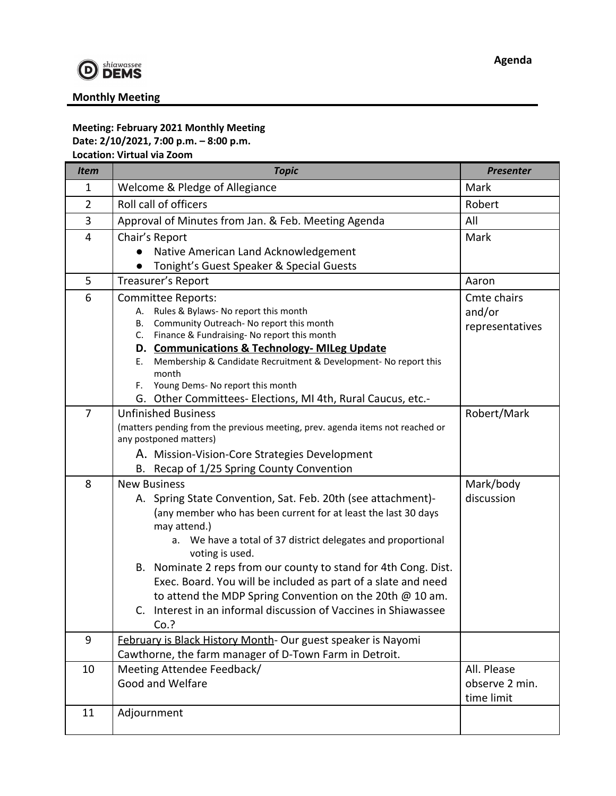

## **Monthly Meeting**

## **Meeting: February 2021 Monthly Meeting Date: 2/10/2021, 7:00 p.m. – 8:00 p.m. Location: Virtual via Zoom**

| <b>Item</b>    | <b>Topic</b>                                                                                                | <b>Presenter</b> |
|----------------|-------------------------------------------------------------------------------------------------------------|------------------|
| $\mathbf{1}$   | Welcome & Pledge of Allegiance                                                                              | Mark             |
| $\overline{2}$ | Roll call of officers                                                                                       | Robert           |
| 3              | Approval of Minutes from Jan. & Feb. Meeting Agenda                                                         | All              |
| 4              | Chair's Report                                                                                              | Mark             |
|                | Native American Land Acknowledgement                                                                        |                  |
|                | Tonight's Guest Speaker & Special Guests                                                                    |                  |
| 5              | Treasurer's Report                                                                                          | Aaron            |
| 6              | <b>Committee Reports:</b>                                                                                   | Cmte chairs      |
|                | A. Rules & Bylaws- No report this month<br>Community Outreach- No report this month                         | and/or           |
|                | В.<br>C. Finance & Fundraising-No report this month                                                         | representatives  |
|                | D. Communications & Technology-MILeg Update                                                                 |                  |
|                | Membership & Candidate Recruitment & Development- No report this<br>Е.                                      |                  |
|                | month                                                                                                       |                  |
|                | Young Dems- No report this month<br>F.                                                                      |                  |
| $\overline{7}$ | G. Other Committees- Elections, MI 4th, Rural Caucus, etc.-                                                 |                  |
|                | <b>Unfinished Business</b><br>(matters pending from the previous meeting, prev. agenda items not reached or | Robert/Mark      |
|                | any postponed matters)                                                                                      |                  |
|                | A. Mission-Vision-Core Strategies Development                                                               |                  |
|                | B. Recap of 1/25 Spring County Convention                                                                   |                  |
| 8              | <b>New Business</b>                                                                                         | Mark/body        |
|                | A. Spring State Convention, Sat. Feb. 20th (see attachment)-                                                | discussion       |
|                | (any member who has been current for at least the last 30 days<br>may attend.)                              |                  |
|                | a. We have a total of 37 district delegates and proportional<br>voting is used.                             |                  |
|                | B. Nominate 2 reps from our county to stand for 4th Cong. Dist.                                             |                  |
|                | Exec. Board. You will be included as part of a slate and need                                               |                  |
|                | to attend the MDP Spring Convention on the 20th @ 10 am.                                                    |                  |
|                | C. Interest in an informal discussion of Vaccines in Shiawassee                                             |                  |
|                | Co.?                                                                                                        |                  |
| 9              | February is Black History Month- Our guest speaker is Nayomi                                                |                  |
|                | Cawthorne, the farm manager of D-Town Farm in Detroit.                                                      |                  |
| 10             | Meeting Attendee Feedback/                                                                                  | All. Please      |
|                | Good and Welfare                                                                                            | observe 2 min.   |
|                |                                                                                                             | time limit       |
| 11             | Adjournment                                                                                                 |                  |
|                |                                                                                                             |                  |